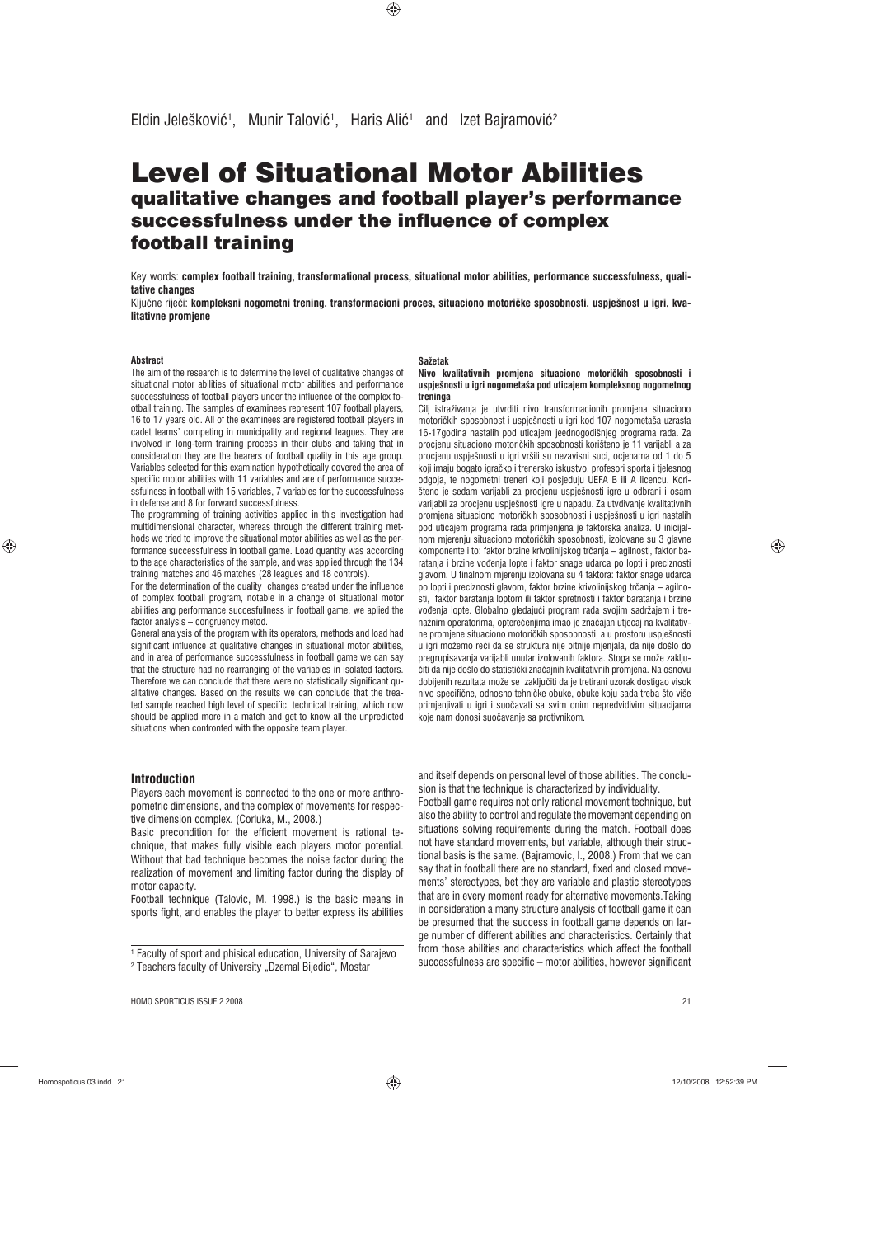# Level of Situational Motor Abilities qualitative changes and football player's performance successfulness under the influence of complex football training

Key words: **complex football training, transformational process, situational motor abilities, performance successfulness, qualitative changes**

Ključne riječi: kompleksni nogometni trening, transformacioni proces, situaciono motoričke sposobnosti, uspješnost u igri, kva**litativne promjene**

#### **Abstract**

◈

The aim of the research is to determine the level of qualitative changes of situational motor abilities of situational motor abilities and performance successfulness of football players under the influence of the complex football training. The samples of examinees represent 107 football players, 16 to 17 years old. All of the examinees are registered football players in cadet teams' competing in municipality and regional leagues. They are involved in long-term training process in their clubs and taking that in consideration they are the bearers of football quality in this age group. Variables selected for this examination hypothetically covered the area of specific motor abilities with 11 variables and are of performance successfulness in football with 15 variables, 7 variables for the successfulness in defense and 8 for forward successfulness.

The programming of training activities applied in this investigation had multidimensional character, whereas through the different training methods we tried to improve the situational motor abilities as well as the performance successfulness in football game. Load quantity was according to the age characteristics of the sample, and was applied through the 134 training matches and 46 matches (28 leagues and 18 controls).

For the determination of the quality changes created under the influence of complex football program, notable in a change of situational motor abilities ang performance succesfullness in football game, we aplied the factor analysis – congruency metod.

General analysis of the program with its operators, methods and load had significant influence at qualitative changes in situational motor abilities, and in area of performance successfulness in football game we can say that the structure had no rearranging of the variables in isolated factors. Therefore we can conclude that there were no statistically significant qualitative changes. Based on the results we can conclude that the treated sample reached high level of specific, technical training, which now should be applied more in a match and get to know all the unpredicted situations when confronted with the opposite team player.

#### **Introduction**

Players each movement is connected to the one or more anthropometric dimensions, and the complex of movements for respective dimension complex. (Corluka, M., 2008.)

Basic precondition for the efficient movement is rational technique, that makes fully visible each players motor potential. Without that bad technique becomes the noise factor during the realization of movement and limiting factor during the display of motor capacity.

Football technique (Talovic, M. 1998.) is the basic means in sports fight, and enables the player to better express its abilities

1 Faculty of sport and phisical education, University of Sarajevo <sup>2</sup> Teachers faculty of University "Dzemal Bijedic", Mostar

#### **Sažetak**

**Nivo kvalitativnih promjena situaciono motoriìkih sposobnosti i uspješnosti u igri nogometaša pod uticajem kompleksnog nogometnog treninga**

Cilj istraživanja je utvrditi nivo transformacionih promjena situaciono motoričkih sposobnost i uspješnosti u igri kod 107 nogometaša uzrasta 16-17godina nastalih pod uticajem jeednogodišnjeg programa rada. Za procjenu situaciono motoričkih sposobnosti korišteno je 11 varijabli a za procjenu uspješnosti u igri vršili su nezavisni suci, ocjenama od 1 do 5 koji imaju bogato igračko i trenersko iskustvo, profesori sporta i tjelesnog odgoja, te nogometni treneri koji posjeduju UEFA B ili A licencu. Korišteno je sedam varijabli za procjenu uspješnosti igre u odbrani i osam varijabli za procjenu uspješnosti igre u napadu. Za utvđivanje kvalitativnih promjena situaciono motoričkih sposobnosti i uspješnosti u igri nastalih pod uticajem programa rada primjenjena je faktorska analiza. U inicijalnom mjerenju situaciono motoričkih sposobnosti, izolovane su 3 glavne komponente i to: faktor brzine krivolinijskog trčanja - agilnosti, faktor baratanja i brzine voíenja lopte i faktor snage udarca po lopti i preciznosti glavom. U finalnom mjerenju izolovana su 4 faktora: faktor snage udarca po lopti i preciznosti glavom, faktor brzine krivolinijskog trčanja – agilnosti, faktor baratanja loptom ili faktor spretnosti i faktor baratanja i brzine voíenja lopte. Globalno gledajuêi program rada svojim sadržajem i trenažnim operatorima, opterećenjima imao je značajan utjecaj na kvalitativne promjene situaciono motoričkih sposobnosti, a u prostoru uspješnosti u igri možemo reêi da se struktura nije bitnije mjenjala, da nije došlo do pregrupisavanja varijabli unutar izolovanih faktora. Stoga se može zaključiti da nije došlo do statistički značajnih kvalitativnih promjena. Na osnovu dobijenih rezultata može se zaključiti da je tretirani uzorak dostigao visok nivo specifične, odnosno tehničke obuke, obuke koju sada treba što više primjenjivati u igri i suočavati sa svim onim nepredvidivim situacijama koje nam donosi suočavanje sa protivnikom.

and itself depends on personal level of those abilities. The conclusion is that the technique is characterized by individuality.

Football game requires not only rational movement technique, but also the ability to control and regulate the movement depending on situations solving requirements during the match. Football does not have standard movements, but variable, although their structional basis is the same. (Bajramovic, I., 2008.) From that we can say that in football there are no standard, fixed and closed movements' stereotypes, bet they are variable and plastic stereotypes that are in every moment ready for alternative movements.Taking in consideration a many structure analysis of football game it can be presumed that the success in football game depends on large number of different abilities and characteristics. Certainly that from those abilities and characteristics which affect the football successfulness are specific – motor abilities, however significant

│ Homospoticus 03.indd 21 12/10/2008 12:52:39 PM

 $\bigcirc$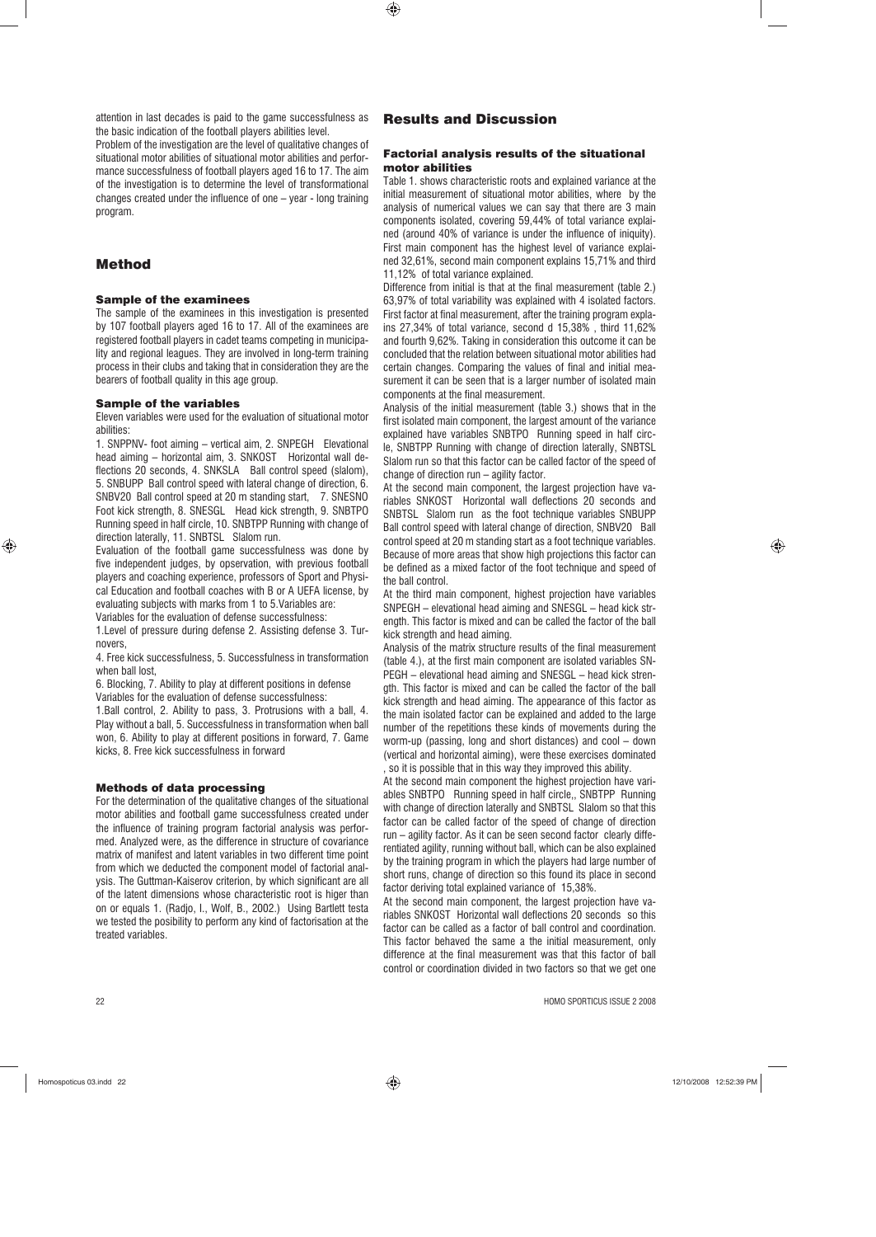attention in last decades is paid to the game successfulness as the basic indication of the football players abilities level. Problem of the investigation are the level of qualitative changes of

situational motor abilities of situational motor abilities and performance successfulness of football players aged 16 to 17. The aim of the investigation is to determine the level of transformational changes created under the influence of one – year - long training program.

# Method

### Sample of the examinees

The sample of the examinees in this investigation is presented by 107 football players aged 16 to 17. All of the examinees are registered football players in cadet teams competing in municipality and regional leagues. They are involved in long-term training process in their clubs and taking that in consideration they are the bearers of football quality in this age group.

## Sample of the variables

Eleven variables were used for the evaluation of situational motor abilities:

1. SNPPNV- foot aiming – vertical aim, 2. SNPEGH Elevational head aiming – horizontal aim, 3. SNKOST Horizontal wall deflections 20 seconds, 4. SNKSLA Ball control speed (slalom), 5. SNBUPP Ball control speed with lateral change of direction, 6. SNBV20 Ball control speed at 20 m standing start, 7. SNESNO Foot kick strength, 8. SNESGL Head kick strength, 9. SNBTPO Running speed in half circle, 10. SNBTPP Running with change of direction laterally, 11. SNBTSL Slalom run.

Evaluation of the football game successfulness was done by five independent judges, by opservation, with previous football players and coaching experience, professors of Sport and Physical Education and football coaches with B or A UEFA license, by evaluating subjects with marks from 1 to 5.Variables are:

Variables for the evaluation of defense successfulness: 1.Level of pressure during defense 2. Assisting defense 3. Turnovers,

4. Free kick successfulness, 5. Successfulness in transformation when ball lost,

6. Blocking, 7. Ability to play at different positions in defense Variables for the evaluation of defense successfulness:

1.Ball control, 2. Ability to pass, 3. Protrusions with a ball, 4. Play without a ball, 5. Successfulness in transformation when ball won, 6. Ability to play at different positions in forward, 7. Game kicks, 8. Free kick successfulness in forward

# Methods of data processing

For the determination of the qualitative changes of the situational motor abilities and football game successfulness created under the influence of training program factorial analysis was performed. Analyzed were, as the difference in structure of covariance matrix of manifest and latent variables in two different time point from which we deducted the component model of factorial analysis. The Guttman-Kaiserov criterion, by which significant are all of the latent dimensions whose characteristic root is higer than on or equals 1. (Radjo, I., Wolf, B., 2002.) Using Bartlett testa we tested the posibility to perform any kind of factorisation at the treated variables.

 $\bigoplus$ 

#### Factorial analysis results of the situational motor abilities

Table 1. shows characteristic roots and explained variance at the initial measurement of situational motor abilities, where by the analysis of numerical values we can say that there are 3 main components isolated, covering 59,44% of total variance explained (around 40% of variance is under the influence of iniquity). First main component has the highest level of variance explained 32,61%, second main component explains 15,71% and third 11,12% of total variance explained.

Difference from initial is that at the final measurement (table 2.) 63,97% of total variability was explained with 4 isolated factors. First factor at final measurement, after the training program explains 27,34% of total variance, second d 15,38% , third 11,62% and fourth 9,62%. Taking in consideration this outcome it can be concluded that the relation between situational motor abilities had certain changes. Comparing the values of final and initial measurement it can be seen that is a larger number of isolated main components at the final measurement.

Analysis of the initial measurement (table 3.) shows that in the first isolated main component, the largest amount of the variance explained have variables SNBTPO Running speed in half circle, SNBTPP Running with change of direction laterally, SNBTSL Slalom run so that this factor can be called factor of the speed of change of direction run – agility factor.

At the second main component, the largest projection have variables SNKOST Horizontal wall deflections 20 seconds and SNBTSL Slalom run as the foot technique variables SNBUPP Ball control speed with lateral change of direction, SNBV20 Ball control speed at 20 m standing start as a foot technique variables. Because of more areas that show high projections this factor can be defined as a mixed factor of the foot technique and speed of the ball control.

At the third main component, highest projection have variables SNPEGH – elevational head aiming and SNESGL – head kick strength. This factor is mixed and can be called the factor of the ball kick strength and head aiming.

Analysis of the matrix structure results of the final measurement (table 4.), at the first main component are isolated variables SN-PEGH – elevational head aiming and SNESGL – head kick strength. This factor is mixed and can be called the factor of the ball kick strength and head aiming. The appearance of this factor as the main isolated factor can be explained and added to the large number of the repetitions these kinds of movements during the worm-up (passing, long and short distances) and cool – down (vertical and horizontal aiming), were these exercises dominated so it is possible that in this way they improved this ability.

At the second main component the highest projection have variables SNBTPO Running speed in half circle,, SNBTPP Running with change of direction laterally and SNBTSL Slalom so that this factor can be called factor of the speed of change of direction run – agility factor. As it can be seen second factor clearly differentiated agility, running without ball, which can be also explained by the training program in which the players had large number of short runs, change of direction so this found its place in second factor deriving total explained variance of 15,38%.

At the second main component, the largest projection have variables SNKOST Horizontal wall deflections 20 seconds so this factor can be called as a factor of ball control and coordination. This factor behaved the same a the initial measurement, only difference at the final measurement was that this factor of ball control or coordination divided in two factors so that we get one

22 HOMO SPORTICUS ISSUE 2 2008

◈

Homospoticus 03.indd 22 12/10/2008 12:52:39 PM

◈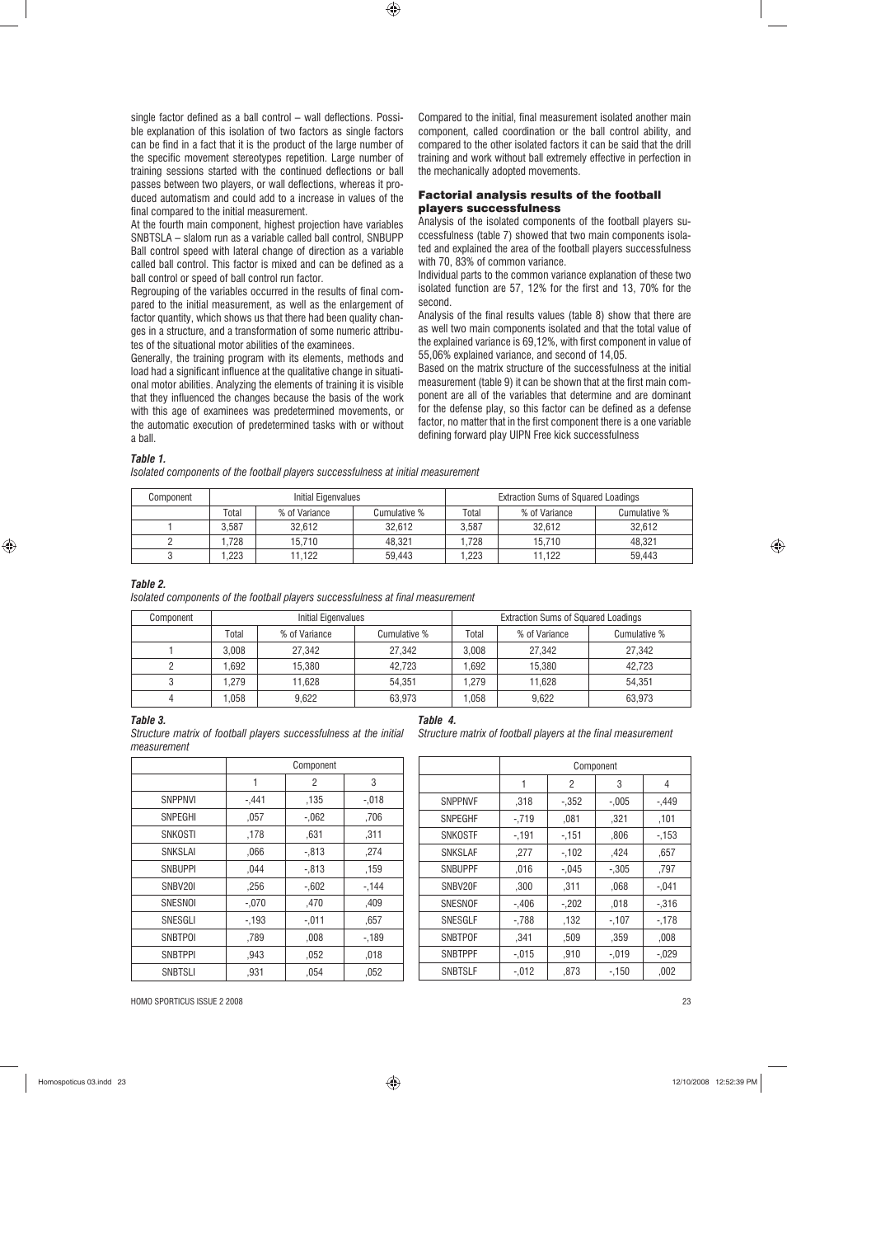single factor defined as a ball control – wall deflections. Possible explanation of this isolation of two factors as single factors can be find in a fact that it is the product of the large number of the specific movement stereotypes repetition. Large number of training sessions started with the continued deflections or ball passes between two players, or wall deflections, whereas it produced automatism and could add to a increase in values of the final compared to the initial measurement.

At the fourth main component, highest projection have variables SNBTSLA – slalom run as a variable called ball control, SNBUPP Ball control speed with lateral change of direction as a variable called ball control. This factor is mixed and can be defined as a ball control or speed of ball control run factor.

Regrouping of the variables occurred in the results of final compared to the initial measurement, as well as the enlargement of factor quantity, which shows us that there had been quality changes in a structure, and a transformation of some numeric attributes of the situational motor abilities of the examinees.

Generally, the training program with its elements, methods and load had a significant influence at the qualitative change in situational motor abilities. Analyzing the elements of training it is visible that they influenced the changes because the basis of the work with this age of examinees was predetermined movements, or the automatic execution of predetermined tasks with or without a ball.

Compared to the initial, final measurement isolated another main component, called coordination or the ball control ability, and compared to the other isolated factors it can be said that the drill training and work without ball extremely effective in perfection in the mechanically adopted movements.

# Factorial analysis results of the football players successfulness

Analysis of the isolated components of the football players successfulness (table 7) showed that two main components isolated and explained the area of the football players successfulness with 70, 83% of common variance.

Individual parts to the common variance explanation of these two isolated function are 57, 12% for the first and 13, 70% for the second.

Analysis of the final results values (table 8) show that there are as well two main components isolated and that the total value of the explained variance is 69,12%, with first component in value of 55,06% explained variance, and second of 14,05.

Based on the matrix structure of the successfulness at the initial measurement (table 9) it can be shown that at the first main component are all of the variables that determine and are dominant for the defense play, so this factor can be defined as a defense factor, no matter that in the first component there is a one variable defining forward play UIPN Free kick successfulness

#### *Table 1.*

*Isolated components of the football players successfulness at initial measurement*

| Component |       | Initial Eigenvalues |              |       | <b>Extraction Sums of Squared Loadings</b> |              |  |
|-----------|-------|---------------------|--------------|-------|--------------------------------------------|--------------|--|
|           | Total | % of Variance       | Cumulative % | Total | % of Variance                              | Cumulative % |  |
|           | 3.587 | 32.612              | 32.612       | 3.587 | 32.612                                     | 32.612       |  |
|           | .728  | 15.710              | 48.321       | .728  | 15.710                                     | 48.321       |  |
|           | .223  | 11.122              | 59.443       | .223  | 11.122                                     | 59.443       |  |

 $\bigoplus$ 

#### *Table 2.*

*Isolated components of the football players successfulness at final measurement*

| Component |       | Initial Eigenvalues |              | <b>Extraction Sums of Squared Loadings</b> |               |              |
|-----------|-------|---------------------|--------------|--------------------------------------------|---------------|--------------|
|           | Total | % of Variance       | Cumulative % | Total                                      | % of Variance | Cumulative % |
|           | 3.008 | 27.342              | 27.342       | 3.008                                      | 27.342        | 27.342       |
|           | .692  | 15.380              | 42.723       | .692                                       | 15.380        | 42.723       |
|           | .279  | 11.628              | 54.351       | 1.279                                      | 11.628        | 54.351       |
|           | .058  | 9.622               | 63.973       | 1.058                                      | 9.622         | 63,973       |

# *Table 3.*

*Structure matrix of football players successfulness at the initial measurement* 

| Table 4. |                                                                                            |  |
|----------|--------------------------------------------------------------------------------------------|--|
|          | $\Omega$ to continue the state of the state of a large section of the state of association |  |

*Structure matrix of football players at the final measurement*

|                | Component |          |         |
|----------------|-----------|----------|---------|
|                | 1         | 2        | 3       |
| <b>SNPPNVI</b> | $-.441$   | .135     | $-.018$ |
| SNPEGHI        | ,057      | $-062$   | .706    |
| <b>SNKOSTI</b> | .178      | .631     | ,311    |
| <b>SNKSLAI</b> | .066      | $-0.813$ | .274    |
| <b>SNBUPPI</b> | .044      | $-0.813$ | .159    |
| SNBV201        | .256      | $-0.602$ | $-144$  |
| SNESNOI        | $-.070$   | ,470     | .409    |
| SNESGLI        | $-193$    | $-.011$  | ,657    |
| <b>SNBTPOI</b> | .789      | 008      | $-189$  |
| <b>SNBTPPI</b> | .943      | .052     | ,018    |
| <b>SNBTSLI</b> | .931      | ,054     | ,052    |

|                | Component |         |         |         |
|----------------|-----------|---------|---------|---------|
|                | 1         | 2       | 3       | 4       |
| <b>SNPPNVF</b> | ,318      | $-.352$ | $-.005$ | - 449   |
| <b>SNPEGHF</b> | $-.719$   | .081    | ,321    | .101    |
| <b>SNKOSTF</b> | -.191     | $-151$  | .806    | $-153$  |
| <b>SNKSLAF</b> | .277      | $-102$  | .424    | .657    |
| <b>SNBUPPF</b> | ,016      | $-.045$ | $-.305$ | ,797    |
| SNBV20F        | ,300      | ,311    | .068    | $-.041$ |
| SNESNOF        | $-.406$   | $-.202$ | .018    | $-.316$ |
| <b>SNESGLF</b> | $-.788$   | .132    | $-.107$ | $-178$  |
| <b>SNBTPOF</b> | .341      | ,509    | .359    | .008    |
| <b>SNBTPPF</b> | $-.015$   | ,910    | -.019   | $-.029$ |
| <b>SNBTSLF</b> | $-.012$   | .873    | $-.150$ | .002    |

HOMO SPORTICUS ISSUE 2 2008 23

◈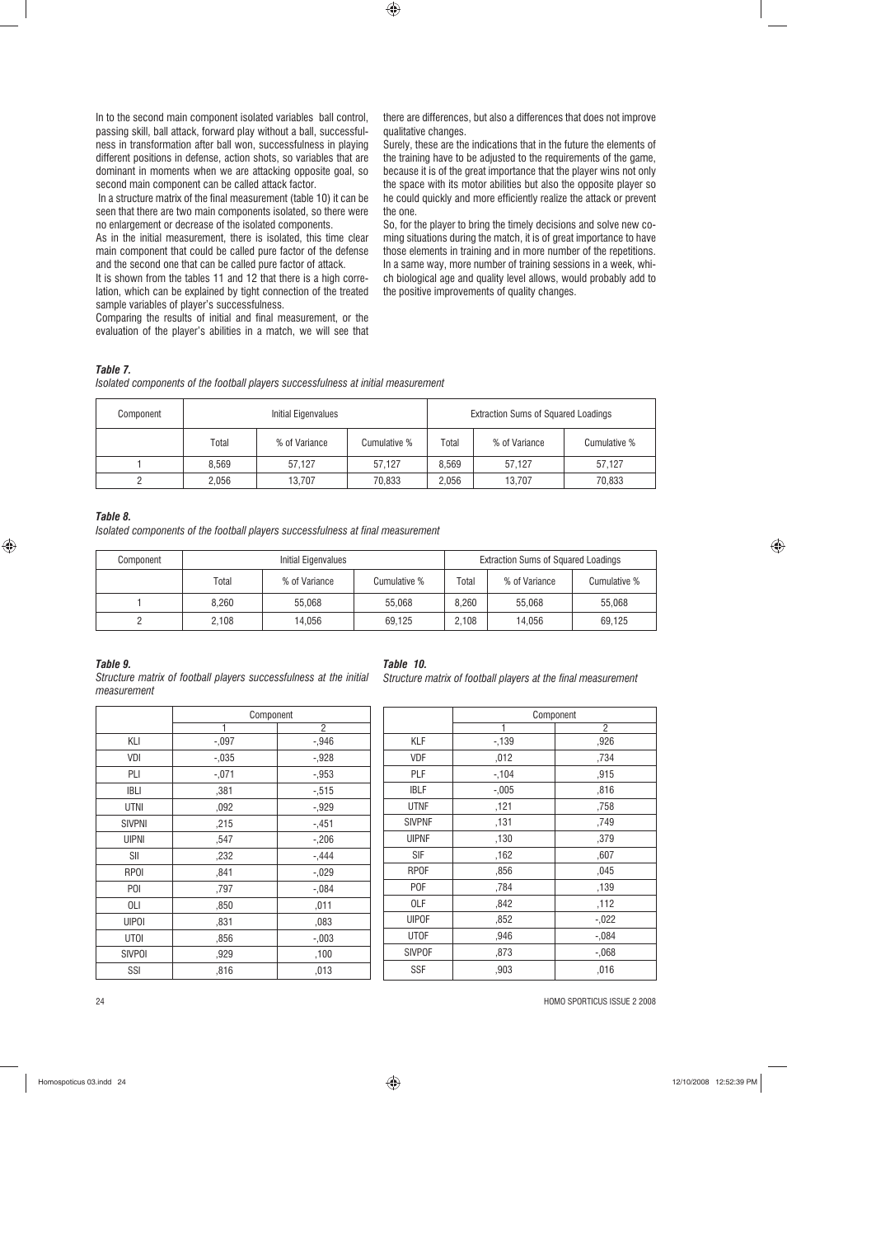In to the second main component isolated variables ball control, passing skill, ball attack, forward play without a ball, successfulness in transformation after ball won, successfulness in playing different positions in defense, action shots, so variables that are dominant in moments when we are attacking opposite goal, so second main component can be called attack factor.

 In a structure matrix of the final measurement (table 10) it can be seen that there are two main components isolated, so there were no enlargement or decrease of the isolated components.

As in the initial measurement, there is isolated, this time clear main component that could be called pure factor of the defense and the second one that can be called pure factor of attack.

It is shown from the tables 11 and 12 that there is a high correlation, which can be explained by tight connection of the treated sample variables of player's successfulness.

Comparing the results of initial and final measurement, or the evaluation of the player's abilities in a match, we will see that there are differences, but also a differences that does not improve qualitative changes.

Surely, these are the indications that in the future the elements of the training have to be adjusted to the requirements of the game, because it is of the great importance that the player wins not only the space with its motor abilities but also the opposite player so he could quickly and more efficiently realize the attack or prevent the one.

So, for the player to bring the timely decisions and solve new coming situations during the match, it is of great importance to have those elements in training and in more number of the repetitions. In a same way, more number of training sessions in a week, which biological age and quality level allows, would probably add to the positive improvements of quality changes.

## *Table 7.*

*Isolated components of the football players successfulness at initial measurement*

| Component | Initial Eigenvalues |               |              |       | <b>Extraction Sums of Squared Loadings</b> |              |
|-----------|---------------------|---------------|--------------|-------|--------------------------------------------|--------------|
|           | Total               | % of Variance | Cumulative % | Total | % of Variance                              | Cumulative % |
|           | 8.569               | 57.127        | 57.127       | 8.569 | 57.127                                     | 57.127       |
|           | 2.056               | 13.707        | 70.833       | 2.056 | 13.707                                     | 70,833       |

 $\bigoplus$ 

#### *Table 8.*

*Isolated components of the football players successfulness at final measurement*

| Component | Initial Eigenvalues |               |              |             | <b>Extraction Sums of Squared Loadings</b> |              |
|-----------|---------------------|---------------|--------------|-------------|--------------------------------------------|--------------|
|           | Total               | % of Variance | Cumulative % | $\tau$ otal | % of Variance                              | Cumulative % |
|           | 8.260               | 55.068        | 55.068       | 8.260       | 55.068                                     | 55.068       |
|           | 2.108               | 14.056        | 69.125       | 2.108       | 14.056                                     | 69.125       |

## *Table 9.*

*Structure matrix of football players successfulness at the initial measurement* 

|               | Component |                |  |
|---------------|-----------|----------------|--|
|               | 1         | $\overline{2}$ |  |
| KLI           | $-.097$   | $-0.946$       |  |
| VDI           | $-.035$   | $-0.928$       |  |
| PLI           | $-.071$   | $-0.953$       |  |
| <b>IBLI</b>   | ,381      | $-0.515$       |  |
| <b>UTNI</b>   | ,092      | $-0.929$       |  |
| <b>SIVPNI</b> | ,215      | $-.451$        |  |
| <b>UIPNI</b>  | ,547      | $-.206$        |  |
| SII           | ,232      | $-.444$        |  |
| <b>RPOI</b>   | ,841      | $-0.029$       |  |
| POI           | ,797      | $-0.084$       |  |
| 0LI           | ,850      | ,011           |  |
| <b>UIPOI</b>  | ,831      | ,083           |  |
| <b>UTOI</b>   | ,856      | $-.003$        |  |
| <b>SIVPOI</b> | ,929      | ,100           |  |
| SSI           | ,816      | ,013           |  |

## *Table 10.*

*Structure matrix of football players at the final measurement*

|               | Component |          |  |
|---------------|-----------|----------|--|
|               |           | 2        |  |
| KLF           | $-139$    | ,926     |  |
| <b>VDF</b>    | ,012      | ,734     |  |
| PLF           | $-104$    | ,915     |  |
| IBLF          | $-0.005$  | ,816     |  |
| <b>UTNF</b>   | ,121      | ,758     |  |
| <b>SIVPNF</b> | ,131      | ,749     |  |
| <b>UIPNF</b>  | ,130      | ,379     |  |
| SIF           | ,162      | ,607     |  |
| <b>RPOF</b>   | ,856      | ,045     |  |
| <b>POF</b>    | ,784      | ,139     |  |
| OLF           | ,842      | ,112     |  |
| <b>UIPOF</b>  | ,852      | $-0.022$ |  |
| <b>UTOF</b>   | ,946      | $-.084$  |  |
| <b>SIVPOF</b> | ,873      | $-0.068$ |  |
| SSF           | ,903      | ,016     |  |

24 HOMO SPORTICUS ISSUE 2 2008

⊕